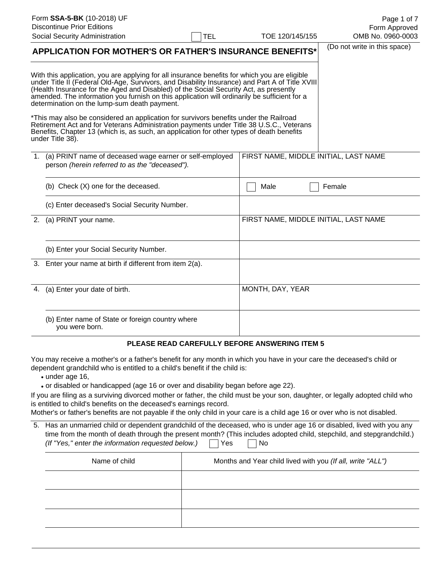| Form SSA-5-BK (10-2018) UF<br><b>Discontinue Prior Editions</b><br>Social Security Administration                                                                                                                                                                                                                                                                                                                                                                                                                                                                                                                                                                                                                                              | TOE 120/145/155<br><b>TEL</b><br><b>APPLICATION FOR MOTHER'S OR FATHER'S INSURANCE BENEFITS*</b> |                  |  | Page 1 of 7<br>Form Approved<br>OMB No. 0960-0003<br>(Do not write in this space) |
|------------------------------------------------------------------------------------------------------------------------------------------------------------------------------------------------------------------------------------------------------------------------------------------------------------------------------------------------------------------------------------------------------------------------------------------------------------------------------------------------------------------------------------------------------------------------------------------------------------------------------------------------------------------------------------------------------------------------------------------------|--------------------------------------------------------------------------------------------------|------------------|--|-----------------------------------------------------------------------------------|
| With this application, you are applying for all insurance benefits for which you are eligible<br>under Title II (Federal Old-Age, Survivors, and Disability Insurance) and Part A of Title XVIII<br>(Health Insurance for the Aged and Disabled) of the Social Security Act, as presently<br>amended. The information you furnish on this application will ordinarily be sufficient for a<br>determination on the lump-sum death payment.<br>*This may also be considered an application for survivors benefits under the Railroad<br>Retirement Act and for Veterans Administration payments under Title 38 U.S.C., Veterans<br>Benefits, Chapter 13 (which is, as such, an application for other types of death benefits<br>under Title 38). |                                                                                                  |                  |  |                                                                                   |
| 1. (a) PRINT name of deceased wage earner or self-employed<br>person (herein referred to as the "deceased").                                                                                                                                                                                                                                                                                                                                                                                                                                                                                                                                                                                                                                   |                                                                                                  |                  |  | FIRST NAME, MIDDLE INITIAL, LAST NAME                                             |
| (b) Check (X) one for the deceased.                                                                                                                                                                                                                                                                                                                                                                                                                                                                                                                                                                                                                                                                                                            |                                                                                                  | Male             |  | Female                                                                            |
| (c) Enter deceased's Social Security Number.                                                                                                                                                                                                                                                                                                                                                                                                                                                                                                                                                                                                                                                                                                   |                                                                                                  |                  |  |                                                                                   |
| 2. (a) PRINT your name.                                                                                                                                                                                                                                                                                                                                                                                                                                                                                                                                                                                                                                                                                                                        |                                                                                                  |                  |  | FIRST NAME, MIDDLE INITIAL, LAST NAME                                             |
| (b) Enter your Social Security Number.                                                                                                                                                                                                                                                                                                                                                                                                                                                                                                                                                                                                                                                                                                         |                                                                                                  |                  |  |                                                                                   |
| 3. Enter your name at birth if different from item 2(a).                                                                                                                                                                                                                                                                                                                                                                                                                                                                                                                                                                                                                                                                                       |                                                                                                  |                  |  |                                                                                   |
| 4. (a) Enter your date of birth.                                                                                                                                                                                                                                                                                                                                                                                                                                                                                                                                                                                                                                                                                                               |                                                                                                  | MONTH, DAY, YEAR |  |                                                                                   |
| (b) Enter name of State or foreign country where                                                                                                                                                                                                                                                                                                                                                                                                                                                                                                                                                                                                                                                                                               |                                                                                                  |                  |  |                                                                                   |

# you were born.

## **PLEASE READ CAREFULLY BEFORE ANSWERING ITEM 5**

You may receive a mother's or a father's benefit for any month in which you have in your care the deceased's child or dependent grandchild who is entitled to a child's benefit if the child is:

- under age 16,
- or disabled or handicapped (age 16 or over and disability began before age 22).

If you are filing as a surviving divorced mother or father, the child must be your son, daughter, or legally adopted child who is entitled to child's benefits on the deceased's earnings record.

Mother's or father's benefits are not payable if the only child in your care is a child age 16 or over who is not disabled.

| 5. Has an unmarried child or dependent grandchild of the deceased, who is under age 16 or disabled, lived with you any |
|------------------------------------------------------------------------------------------------------------------------|
| time from the month of death through the present month? (This includes adopted child, stepchild, and stepgrandchild.)  |
| (If "Yes," enter the information requested below.) $\Box$ Yes $\Box$ No                                                |

| Name of child | Months and Year child lived with you (If all, write "ALL") |  |  |  |  |  |
|---------------|------------------------------------------------------------|--|--|--|--|--|
|               |                                                            |  |  |  |  |  |
|               |                                                            |  |  |  |  |  |
|               |                                                            |  |  |  |  |  |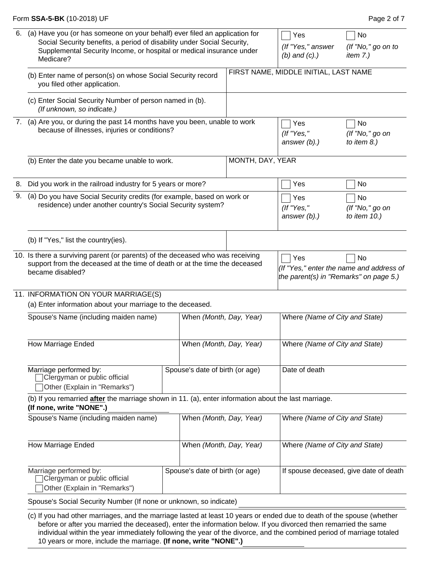### Form **SSA-5-BK** (10-2018) UF **Page 2 of 7 Page 2 of 7**

| 6. | (a) Have you (or has someone on your behalf) ever filed an application for<br>Social Security benefits, a period of disability under Social Security,<br>Supplemental Security Income, or hospital or medical insurance under<br>Medicare? | Yes<br>(If "Yes," answer<br>$(b)$ and $(c)$ .) | No<br>(If "No," go on to<br>item $7.$ ) |                                          |                                               |                                                |  |  |
|----|--------------------------------------------------------------------------------------------------------------------------------------------------------------------------------------------------------------------------------------------|------------------------------------------------|-----------------------------------------|------------------------------------------|-----------------------------------------------|------------------------------------------------|--|--|
|    | (b) Enter name of person(s) on whose Social Security record<br>you filed other application.                                                                                                                                                |                                                |                                         | FIRST NAME, MIDDLE INITIAL, LAST NAME    |                                               |                                                |  |  |
|    | (c) Enter Social Security Number of person named in (b).<br>(If unknown, so indicate.)                                                                                                                                                     |                                                |                                         |                                          |                                               |                                                |  |  |
| 7. | (a) Are you, or during the past 14 months have you been, unable to work<br>because of illnesses, injuries or conditions?                                                                                                                   |                                                |                                         | Yes<br>(If "Yes,"<br>answer $(b)$ .)     | No<br>(If "No," go on<br>to item $8.$ )       |                                                |  |  |
|    | (b) Enter the date you became unable to work.                                                                                                                                                                                              |                                                | MONTH, DAY, YEAR                        |                                          |                                               |                                                |  |  |
| 8. | Did you work in the railroad industry for 5 years or more?                                                                                                                                                                                 |                                                |                                         |                                          | Yes                                           | No                                             |  |  |
| 9. | (a) Do you have Social Security credits (for example, based on work or<br>residence) under another country's Social Security system?                                                                                                       |                                                | Yes<br>(If "Yes,"<br>answer $(b)$ .)    | No<br>(If "No," go on<br>to item $10.$ ) |                                               |                                                |  |  |
|    | (b) If "Yes," list the country(ies).                                                                                                                                                                                                       |                                                |                                         |                                          |                                               |                                                |  |  |
|    | 10. Is there a surviving parent (or parents) of the deceased who was receiving<br>support from the deceased at the time of death or at the time the deceased<br>became disabled?                                                           |                                                |                                         |                                          | Yes<br>the parent(s) in "Remarks" on page 5.) | No<br>(If "Yes," enter the name and address of |  |  |
|    | 11. INFORMATION ON YOUR MARRIAGE(S)<br>(a) Enter information about your marriage to the deceased.                                                                                                                                          |                                                |                                         |                                          |                                               |                                                |  |  |
|    | Spouse's Name (including maiden name)                                                                                                                                                                                                      |                                                | When (Month, Day, Year)                 |                                          | Where (Name of City and State)                |                                                |  |  |
|    | How Marriage Ended                                                                                                                                                                                                                         |                                                | When (Month, Day, Year)                 |                                          | Where (Name of City and State)                |                                                |  |  |
|    | Marriage performed by:<br>Spouse's date of birth (or age)<br>Clergyman or public official<br>Other (Explain in "Remarks")                                                                                                                  |                                                |                                         |                                          | Date of death                                 |                                                |  |  |
|    | (b) If you remarried after the marriage shown in 11. (a), enter information about the last marriage.<br>(If none, write "NONE".)                                                                                                           |                                                |                                         |                                          |                                               |                                                |  |  |
|    | Spouse's Name (including maiden name)                                                                                                                                                                                                      |                                                | When (Month, Day, Year)                 |                                          | Where (Name of City and State)                |                                                |  |  |
|    | <b>How Marriage Ended</b>                                                                                                                                                                                                                  |                                                | When (Month, Day, Year)                 |                                          | Where (Name of City and State)                |                                                |  |  |
|    | Marriage performed by:<br>Clergyman or public official<br>Other (Explain in "Remarks")                                                                                                                                                     |                                                | Spouse's date of birth (or age)         |                                          |                                               | If spouse deceased, give date of death         |  |  |
|    | Spouse's Social Security Number (If none or unknown, so indicate)                                                                                                                                                                          |                                                |                                         |                                          |                                               |                                                |  |  |

(c) If you had other marriages, and the marriage lasted at least 10 years or ended due to death of the spouse (whether before or after you married the deceased), enter the information below. If you divorced then remarried the same individual within the year immediately following the year of the divorce, and the combined period of marriage totaled 10 years or more, include the marriage. **(If none, write "NONE".)**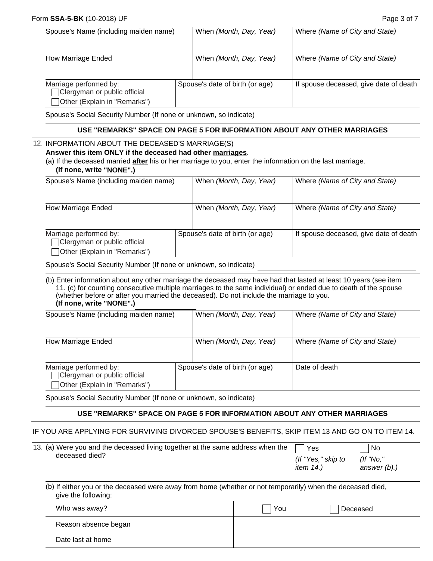### **Form SSA-5-BK** (10-2018) UF **Page 3 of 7 Page 3 of 7**

| Spouse's Name (including maiden name)                                                  |  | When (Month, Day, Year)         | Where (Name of City and State)         |
|----------------------------------------------------------------------------------------|--|---------------------------------|----------------------------------------|
| How Marriage Ended                                                                     |  | When (Month, Day, Year)         | Where (Name of City and State)         |
| Marriage performed by:<br>Clergyman or public official<br>Other (Explain in "Remarks") |  | Spouse's date of birth (or age) | If spouse deceased, give date of death |

Spouse's Social Security Number (If none or unknown, so indicate)

### **USE "REMARKS" SPACE ON PAGE 5 FOR INFORMATION ABOUT ANY OTHER MARRIAGES**

#### 12. INFORMATION ABOUT THE DECEASED'S MARRIAGE(S)

### **Answer this item ONLY if the deceased had other marriages**.

(a) If the deceased married **after** his or her marriage to you, enter the information on the last marriage. **(If none, write "NONE".)**

| Spouse's Name (including maiden name)                                                  |  | When (Month, Day, Year)         | Where (Name of City and State)         |
|----------------------------------------------------------------------------------------|--|---------------------------------|----------------------------------------|
| How Marriage Ended                                                                     |  | When (Month, Day, Year)         | Where (Name of City and State)         |
| Marriage performed by:<br>Clergyman or public official<br>Other (Explain in "Remarks") |  | Spouse's date of birth (or age) | If spouse deceased, give date of death |

Spouse's Social Security Number (If none or unknown, so indicate)

(b) Enter information about any other marriage the deceased may have had that lasted at least 10 years (see item 11. (c) for counting consecutive multiple marriages to the same individual) or ended due to death of the spouse (whether before or after you married the deceased). Do not include the marriage to you. **(If none, write "NONE".)**

| Spouse's Name (including maiden name)                                                  |  | When (Month, Day, Year)         | Where (Name of City and State) |
|----------------------------------------------------------------------------------------|--|---------------------------------|--------------------------------|
| How Marriage Ended                                                                     |  | When (Month, Day, Year)         | Where (Name of City and State) |
| Marriage performed by:<br>Clergyman or public official<br>Other (Explain in "Remarks") |  | Spouse's date of birth (or age) | Date of death                  |

Spouse's Social Security Number (If none or unknown, so indicate)

#### **USE "REMARKS" SPACE ON PAGE 5 FOR INFORMATION ABOUT ANY OTHER MARRIAGES**

#### IF YOU ARE APPLYING FOR SURVIVING DIVORCED SPOUSE'S BENEFITS, SKIP ITEM 13 AND GO ON TO ITEM 14.

| 13. (a) Were you and the deceased living together at the same address when the<br>deceased died?                                  |     | Yes<br>(If "Yes," skip to<br>item 14.) | No<br>$($ ff "No,"<br>answer $(b)$ .) |
|-----------------------------------------------------------------------------------------------------------------------------------|-----|----------------------------------------|---------------------------------------|
| (b) If either you or the deceased were away from home (whether or not temporarily) when the deceased died,<br>give the following: |     |                                        |                                       |
| Who was away?                                                                                                                     | You |                                        | Deceased                              |
| Reason absence began                                                                                                              |     |                                        |                                       |

|  |  |  | Date last at home |  |
|--|--|--|-------------------|--|
|--|--|--|-------------------|--|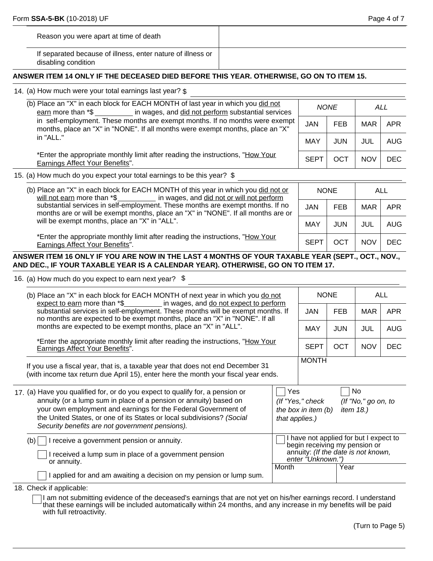| Reason you were apart at time of death                                             |  |
|------------------------------------------------------------------------------------|--|
| If separated because of illness, enter nature of illness or<br>disabling condition |  |

## **ANSWER ITEM 14 ONLY IF THE DECEASED DIED BEFORE THIS YEAR. OTHERWISE, GO ON TO ITEM 15.**

14. (a) How much were your total earnings last year? \$

| (b) Place an "X" in each block for EACH MONTH of last year in which you did not<br>earn more than *\$ in wages, and did not perform substantial services                    |             | <b>NONE</b> | ALL        |            |
|-----------------------------------------------------------------------------------------------------------------------------------------------------------------------------|-------------|-------------|------------|------------|
| in self-employment. These months are exempt months. If no months were exempt<br>months, place an "X" in "NONE". If all months were exempt months, place an "X"<br>in "ALL." |             | <b>FEB</b>  | MAR        | APR        |
|                                                                                                                                                                             |             | JUN         | JUL        | AUG        |
| *Enter the appropriate monthly limit after reading the instructions, "How Your<br>Earnings Affect Your Benefits".                                                           | <b>SEPT</b> | OCT         | <b>NOV</b> | <b>DEC</b> |

15. (a) How much do you expect your total earnings to be this year? \$

| (b) Place an "X" in each block for EACH MONTH of this year in which you did not or<br>will not earn more than $*\$ in wages, and did not or will not perform                                                         | <b>NONE</b> |            | ALL        |      |
|----------------------------------------------------------------------------------------------------------------------------------------------------------------------------------------------------------------------|-------------|------------|------------|------|
| substantial services in self-employment. These months are exempt months. If no<br>months are or will be exempt months, place an "X" in "NONE". If all months are or<br>will be exempt months, place an "X" in "ALL". | <b>JAN</b>  | <b>FEB</b> | MAR        | APR  |
|                                                                                                                                                                                                                      | MAY         | JUN.       | JUL        | AUG  |
| *Enter the appropriate monthly limit after reading the instructions, "How Your<br>Earnings Affect Your Benefits".                                                                                                    | <b>SEP</b>  | OCT        | <b>NOV</b> | DEC. |

**ANSWER ITEM 16 ONLY IF YOU ARE NOW IN THE LAST 4 MONTHS OF YOUR TAXABLE YEAR (SEPT., OCT., NOV., AND DEC., IF YOUR TAXABLE YEAR IS A CALENDAR YEAR). OTHERWISE, GO ON TO ITEM 17.** 

16. (a) How much do you expect to earn next year? \$

| (b) Place an "X" in each block for EACH MONTH of next year in which you do not                                                                                                                                                                                                                                                                    |                                                                                                                                     | <b>NONE</b> |            | ALL        |  |
|---------------------------------------------------------------------------------------------------------------------------------------------------------------------------------------------------------------------------------------------------------------------------------------------------------------------------------------------------|-------------------------------------------------------------------------------------------------------------------------------------|-------------|------------|------------|--|
| expect to earn more than *\$_____________ in wages, and do not expect to perform<br>substantial services in self-employment. These months will be exempt months. If<br>no months are expected to be exempt months, place an "X" in "NONE". If all                                                                                                 | <b>JAN</b>                                                                                                                          | <b>FEB</b>  | <b>MAR</b> | <b>APR</b> |  |
| months are expected to be exempt months, place an "X" in "ALL".                                                                                                                                                                                                                                                                                   | <b>MAY</b>                                                                                                                          | <b>JUN</b>  | <b>JUL</b> | <b>AUG</b> |  |
| *Enter the appropriate monthly limit after reading the instructions, "How Your<br>Earnings Affect Your Benefits".                                                                                                                                                                                                                                 | <b>SEPT</b>                                                                                                                         | OCT         | <b>NOV</b> | <b>DEC</b> |  |
| If you use a fiscal year, that is, a taxable year that does not end December 31<br>(with income tax return due April 15), enter here the month your fiscal year ends.                                                                                                                                                                             | <b>MONTH</b>                                                                                                                        |             |            |            |  |
| 17. (a) Have you qualified for, or do you expect to qualify for, a pension or<br>annuity (or a lump sum in place of a pension or annuity) based on<br>your own employment and earnings for the Federal Government of<br>the United States, or one of its States or local subdivisions? (Social<br>Security benefits are not government pensions). | No<br>Yes<br>(If "Yes," check<br>(If "No," go on, to<br>the box in item (b)<br>item 18.)<br>that applies.)                          |             |            |            |  |
| receive a government pension or annuity.<br>(b)<br>I received a lump sum in place of a government pension<br>or annuity.                                                                                                                                                                                                                          | I have not applied for but I expect to<br>begin receiving my pension or<br>annuity: (If the date is not known,<br>enter "Unknown.") |             |            |            |  |
| Month<br>applied for and am awaiting a decision on my pension or lump sum.                                                                                                                                                                                                                                                                        |                                                                                                                                     | Year        |            |            |  |

18. Check if applicable:

I am not submitting evidence of the deceased's earnings that are not yet on his/her earnings record. I understand that these earnings will be included automatically within 24 months, and any increase in my benefits will be paid with full retroactivity.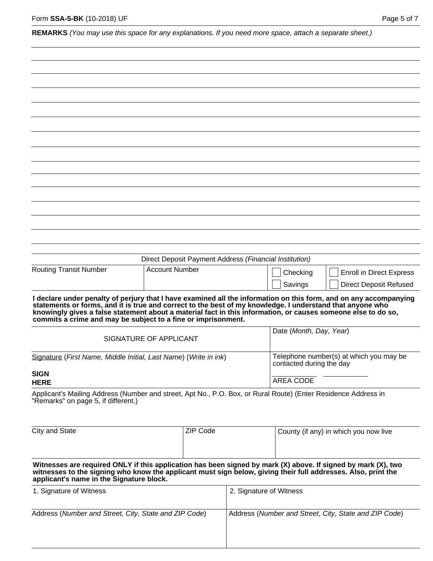|  |  |  | REMARKS (You may use this space for any explanations. If you need more space, attach a separate sheet.) |  |  |  |  |
|--|--|--|---------------------------------------------------------------------------------------------------------|--|--|--|--|
|--|--|--|---------------------------------------------------------------------------------------------------------|--|--|--|--|

|                                                                                                                                                                                                                                                                                                                                                                                                                  |                                                                  |                                                       | Direct Deposit Payment Address (Financial Institution) |                                                                     |                                 |  |  |
|------------------------------------------------------------------------------------------------------------------------------------------------------------------------------------------------------------------------------------------------------------------------------------------------------------------------------------------------------------------------------------------------------------------|------------------------------------------------------------------|-------------------------------------------------------|--------------------------------------------------------|---------------------------------------------------------------------|---------------------------------|--|--|
| <b>Routing Transit Number</b>                                                                                                                                                                                                                                                                                                                                                                                    | <b>Account Number</b>                                            |                                                       |                                                        | Checking                                                            | <b>Enroll in Direct Express</b> |  |  |
|                                                                                                                                                                                                                                                                                                                                                                                                                  |                                                                  |                                                       |                                                        | Savings                                                             | <b>Direct Deposit Refused</b>   |  |  |
| I declare under penalty of perjury that I have examined all the information on this form, and on any accompanying<br>statements or forms, and it is true and correct to the best of my knowledge. I understand that anyone who<br>knowingly gives a false statement about a material fact in this information, or causes someone else to do so,<br>commits a crime and may be subject to a fine or imprisonment. |                                                                  |                                                       |                                                        | Date (Month, Day, Year)                                             |                                 |  |  |
|                                                                                                                                                                                                                                                                                                                                                                                                                  | SIGNATURE OF APPLICANT                                           |                                                       |                                                        |                                                                     |                                 |  |  |
|                                                                                                                                                                                                                                                                                                                                                                                                                  | Signature (First Name, Middle Initial, Last Name) (Write in ink) |                                                       |                                                        | Telephone number(s) at which you may be<br>contacted during the day |                                 |  |  |
| <b>SIGN</b>                                                                                                                                                                                                                                                                                                                                                                                                      |                                                                  |                                                       |                                                        | <b>AREA CODE</b>                                                    |                                 |  |  |
|                                                                                                                                                                                                                                                                                                                                                                                                                  | <b>HERE</b>                                                      |                                                       |                                                        |                                                                     |                                 |  |  |
| Applicant's Mailing Address (Number and street, Apt No., P.O. Box, or Rural Route) (Enter Residence Address in<br>"Remarks" on page 5, if different.)                                                                                                                                                                                                                                                            |                                                                  |                                                       |                                                        |                                                                     |                                 |  |  |
| City and State                                                                                                                                                                                                                                                                                                                                                                                                   | <b>ZIP Code</b>                                                  |                                                       |                                                        | County (if any) in which you now live                               |                                 |  |  |
| Witnesses are required ONLY if this application has been signed by mark (X) above. If signed by mark (X), two<br>witnesses to the signing who know the applicant must sign below, giving their full addresses. Also, print the<br>applicant's name in the Signature block.                                                                                                                                       |                                                                  |                                                       |                                                        |                                                                     |                                 |  |  |
| 1. Signature of Witness                                                                                                                                                                                                                                                                                                                                                                                          |                                                                  |                                                       |                                                        | 2. Signature of Witness                                             |                                 |  |  |
| Address (Number and Street, City, State and ZIP Code)                                                                                                                                                                                                                                                                                                                                                            |                                                                  | Address (Number and Street, City, State and ZIP Code) |                                                        |                                                                     |                                 |  |  |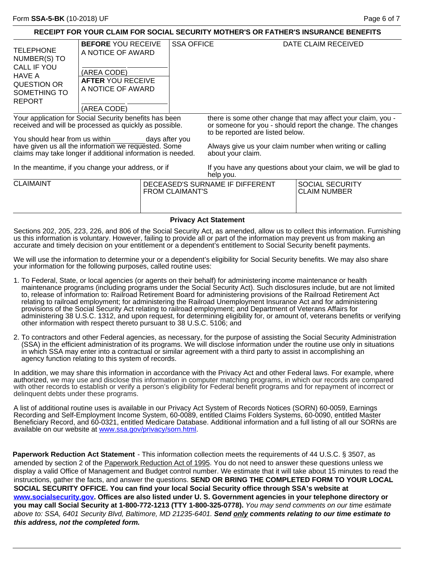| RECEIPT FOR YOUR CLAIM FOR SOCIAL SECURITY MOTHER'S OR FATHER'S INSURANCE BENEFITS                                                                                                                                                                                        |  |                                                                     |                                                                                                                                                                                                                                                 |                                                                                |  |  |
|---------------------------------------------------------------------------------------------------------------------------------------------------------------------------------------------------------------------------------------------------------------------------|--|---------------------------------------------------------------------|-------------------------------------------------------------------------------------------------------------------------------------------------------------------------------------------------------------------------------------------------|--------------------------------------------------------------------------------|--|--|
|                                                                                                                                                                                                                                                                           |  |                                                                     |                                                                                                                                                                                                                                                 | DATE CLAIM RECEIVED                                                            |  |  |
| (AREA CODE)                                                                                                                                                                                                                                                               |  |                                                                     |                                                                                                                                                                                                                                                 |                                                                                |  |  |
| HAVE A<br><b>AFTER YOU RECEIVE</b><br>QUESTION OR                                                                                                                                                                                                                         |  |                                                                     |                                                                                                                                                                                                                                                 |                                                                                |  |  |
|                                                                                                                                                                                                                                                                           |  |                                                                     |                                                                                                                                                                                                                                                 |                                                                                |  |  |
|                                                                                                                                                                                                                                                                           |  |                                                                     |                                                                                                                                                                                                                                                 |                                                                                |  |  |
| (AREA CODE)                                                                                                                                                                                                                                                               |  |                                                                     |                                                                                                                                                                                                                                                 |                                                                                |  |  |
| Your application for Social Security benefits has been<br>received and will be processed as quickly as possible.<br>You should hear from us within<br>have given us all the information we requested. Some<br>claims may take longer if additional information is needed. |  |                                                                     | there is some other change that may affect your claim, you -<br>or someone for you - should report the change. The changes<br>to be reported are listed below.<br>Always give us your claim number when writing or calling<br>about your claim. |                                                                                |  |  |
| In the meantime, if you change your address, or if                                                                                                                                                                                                                        |  |                                                                     | If you have any questions about your claim, we will be glad to<br>help you.                                                                                                                                                                     |                                                                                |  |  |
|                                                                                                                                                                                                                                                                           |  |                                                                     |                                                                                                                                                                                                                                                 | <b>SOCIAL SECURITY</b><br><b>CLAIM NUMBER</b>                                  |  |  |
| <b>Privacy Act Statement</b>                                                                                                                                                                                                                                              |  |                                                                     |                                                                                                                                                                                                                                                 |                                                                                |  |  |
|                                                                                                                                                                                                                                                                           |  | <b>BEFORE YOU RECEIVE</b><br>A NOTICE OF AWARD<br>A NOTICE OF AWARD | days after you                                                                                                                                                                                                                                  | <b>SSA OFFICE</b><br>DECEASED'S SURNAME IF DIFFERENT<br><b>FROM CLAIMANT'S</b> |  |  |

Sections 202, 205, 223, 226, and 806 of the Social Security Act, as amended, allow us to collect this information. Furnishing us this information is voluntary. However, failing to provide all or part of the information may prevent us from making an accurate and timely decision on your entitlement or a dependent's entitlement to Social Security benefit payments.

We will use the information to determine your or a dependent's eligibility for Social Security benefits. We may also share your information for the following purposes, called routine uses:

- 1. To Federal, State, or local agencies (or agents on their behalf) for administering income maintenance or health maintenance programs (including programs under the Social Security Act). Such disclosures include, but are not limited to, release of information to: Railroad Retirement Board for administering provisions of the Railroad Retirement Act relating to railroad employment; for administering the Railroad Unemployment Insurance Act and for administering provisions of the Social Security Act relating to railroad employment; and Department of Veterans Affairs for administering 38 U.S.C. 1312, and upon request, for determining eligibility for, or amount of, veterans benefits or verifying other information with respect thereto pursuant to 38 U.S.C. 5106; and
- 2. To contractors and other Federal agencies, as necessary, for the purpose of assisting the Social Security Administration (SSA) in the efficient administration of its programs. We will disclose information under the routine use only in situations in which SSA may enter into a contractual or similar agreement with a third party to assist in accomplishing an agency function relating to this system of records.

In addition, we may share this information in accordance with the Privacy Act and other Federal laws. For example, where authorized, we may use and disclose this information in computer matching programs, in which our records are compared with other records to establish or verify a person's eligibility for Federal benefit programs and for repayment of incorrect or delinquent debts under these programs.

A list of additional routine uses is available in our Privacy Act System of Records Notices (SORN) 60-0059, Earnings Recording and Self-Employment Income System, 60-0089, entitled Claims Folders Systems, 60-0090, entitled Master Beneficiary Record, and 60-0321, entitled Medicare Database. Additional information and a full listing of all our SORNs are available on our website at [www.ssa.gov/privacy/sorn.html.](www.ssa.gov/privacy/sorn.html)

**Paperwork Reduction Act Statement** - This information collection meets the requirements of 44 U.S.C. § 3507, as amended by section 2 of the Paperwork Reduction Act of 1995. You do not need to answer these questions unless we display a valid Office of Management and Budget control number. We estimate that it will take about 15 minutes to read the instructions, gather the facts, and answer the questions. **SEND OR BRING THE COMPLETED FORM TO YOUR LOCAL SOCIAL SECURITY OFFICE. You can find your local Social Security office through SSA's website at [www.socialsecurity.gov.](www.socialsecurity.gov) Offices are also listed under U. S. Government agencies in your telephone directory or you may call Social Security at 1-800-772-1213 (TTY 1-800-325-0778).** *You may send comments on our time estimate above to: SSA, 6401 Security Blvd, Baltimore, MD 21235-6401. Send only comments relating to our time estimate to this address, not the completed form.*